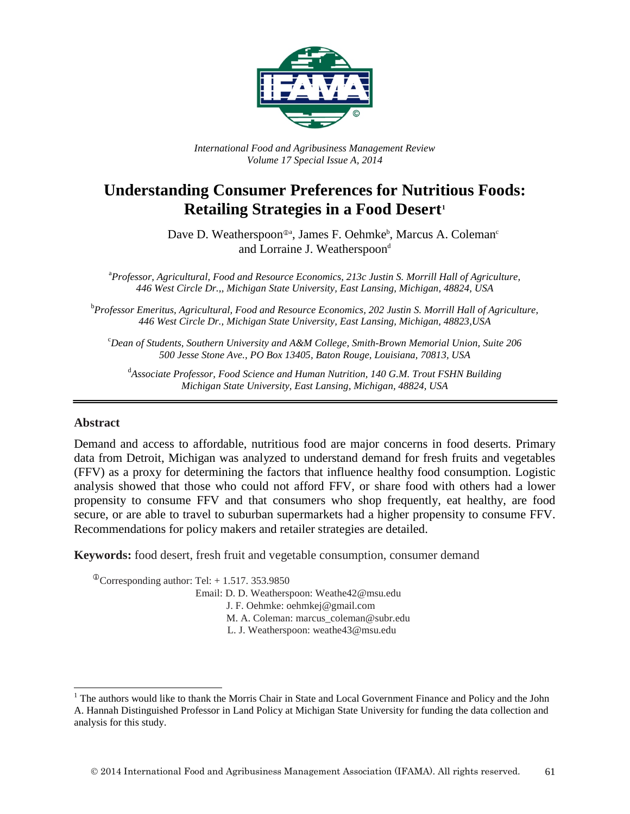

*International Food and Agribusiness Management Review Volume 17 Special Issue A, 2014*

# **Understanding Consumer Preferences for Nutritious Foods: Retailing Strategies in a Food Desert[1](#page-0-0)**

Dave D. Weatherspoon<sup>®a</sup>, James F. Oehmke<sup>b</sup>, Marcus A. Coleman<sup>c</sup> and Lorraine J. Weatherspoon<sup>d</sup>

a *Professor, Agricultural, Food and Resource Economics, 213c Justin S. Morrill Hall of Agriculture, 446 West Circle Dr.,, Michigan State University, East Lansing, Michigan, 48824, USA*

b *Professor Emeritus, Agricultural, Food and Resource Economics, 202 Justin S. Morrill Hall of Agriculture, 446 West Circle Dr., Michigan State University, East Lansing, Michigan, 48823,USA*

c *Dean of Students, Southern University and A&M College, Smith-Brown Memorial Union, Suite 206 500 Jesse Stone Ave., PO Box 13405, Baton Rouge, Louisiana, 70813, USA*

d *Associate Professor, Food Science and Human Nutrition, 140 G.M. Trout FSHN Building Michigan State University, East Lansing, Michigan, 48824, USA*

#### **Abstract**

Demand and access to affordable, nutritious food are major concerns in food deserts. Primary data from Detroit, Michigan was analyzed to understand demand for fresh fruits and vegetables (FFV) as a proxy for determining the factors that influence healthy food consumption. Logistic analysis showed that those who could not afford FFV, or share food with others had a lower propensity to consume FFV and that consumers who shop frequently, eat healthy, are food secure, or are able to travel to suburban supermarkets had a higher propensity to consume FFV. Recommendations for policy makers and retailer strategies are detailed.

**Keywords:** food desert, fresh fruit and vegetable consumption, consumer demand

 $\textcirc{}$ Corresponding author: Tel: + 1.517. 353.9850 Email: D. D. Weatherspoon: Weathe42@msu.edu J. F. Oehmke: oehmkej@gmail.com M. A. Coleman: marcus\_coleman@subr.edu L. J. Weatherspoon: weathe43@msu.edu

<span id="page-0-0"></span><sup>&</sup>lt;sup>1</sup> The authors would like to thank the Morris Chair in State and Local Government Finance and Policy and the John A. Hannah Distinguished Professor in Land Policy at Michigan State University for funding the data collection and analysis for this study.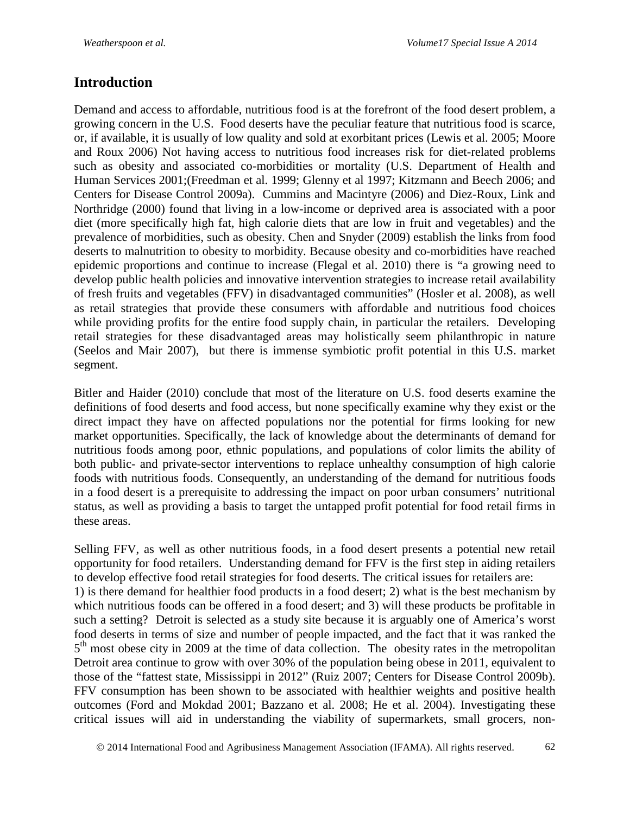# **Introduction**

Demand and access to affordable, nutritious food is at the forefront of the food desert problem, a growing concern in the U.S. Food deserts have the peculiar feature that nutritious food is scarce, or, if available, it is usually of low quality and sold at exorbitant prices (Lewis et al. 2005; Moore and Roux 2006) Not having access to nutritious food increases risk for diet-related problems such as obesity and associated co-morbidities or mortality (U.S. Department of Health and Human Services 2001;(Freedman et al. 1999; Glenny et al 1997; Kitzmann and Beech 2006; and Centers for Disease Control 2009a). Cummins and Macintyre (2006) and Diez-Roux, Link and Northridge (2000) found that living in a low-income or deprived area is associated with a poor diet (more specifically high fat, high calorie diets that are low in fruit and vegetables) and the prevalence of morbidities, such as obesity. Chen and Snyder (2009) establish the links from food deserts to malnutrition to obesity to morbidity. Because obesity and co-morbidities have reached epidemic proportions and continue to increase (Flegal et al. 2010) there is "a growing need to develop public health policies and innovative intervention strategies to increase retail availability of fresh fruits and vegetables (FFV) in disadvantaged communities" (Hosler et al. 2008), as well as retail strategies that provide these consumers with affordable and nutritious food choices while providing profits for the entire food supply chain, in particular the retailers. Developing retail strategies for these disadvantaged areas may holistically seem philanthropic in nature (Seelos and Mair 2007), but there is immense symbiotic profit potential in this U.S. market segment.

Bitler and Haider (2010) conclude that most of the literature on U.S. food deserts examine the definitions of food deserts and food access, but none specifically examine why they exist or the direct impact they have on affected populations nor the potential for firms looking for new market opportunities. Specifically, the lack of knowledge about the determinants of demand for nutritious foods among poor, ethnic populations, and populations of color limits the ability of both public- and private-sector interventions to replace unhealthy consumption of high calorie foods with nutritious foods. Consequently, an understanding of the demand for nutritious foods in a food desert is a prerequisite to addressing the impact on poor urban consumers' nutritional status, as well as providing a basis to target the untapped profit potential for food retail firms in these areas.

Selling FFV, as well as other nutritious foods, in a food desert presents a potential new retail opportunity for food retailers. Understanding demand for FFV is the first step in aiding retailers to develop effective food retail strategies for food deserts. The critical issues for retailers are: 1) is there demand for healthier food products in a food desert; 2) what is the best mechanism by which nutritious foods can be offered in a food desert; and 3) will these products be profitable in such a setting? Detroit is selected as a study site because it is arguably one of America's worst food deserts in terms of size and number of people impacted, and the fact that it was ranked the  $5<sup>th</sup>$  most obese city in 2009 at the time of data collection. The obesity rates in the metropolitan Detroit area continue to grow with over 30% of the population being obese in 2011, equivalent to those of the "fattest state, Mississippi in 2012" (Ruiz 2007; Centers for Disease Control 2009b). FFV consumption has been shown to be associated with healthier weights and positive health outcomes (Ford and Mokdad 2001; Bazzano et al. 2008; He et al. 2004). Investigating these critical issues will aid in understanding the viability of supermarkets, small grocers, non-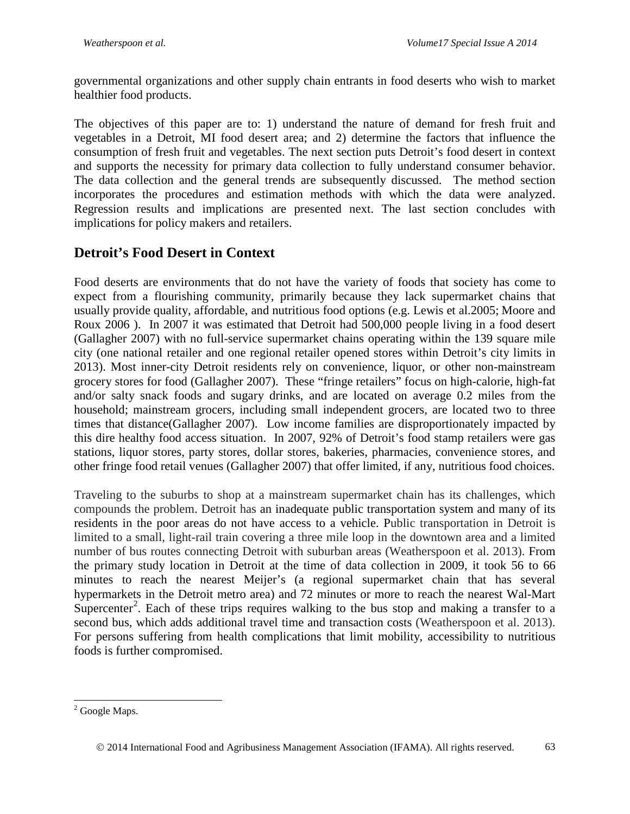governmental organizations and other supply chain entrants in food deserts who wish to market healthier food products.

The objectives of this paper are to: 1) understand the nature of demand for fresh fruit and vegetables in a Detroit, MI food desert area; and 2) determine the factors that influence the consumption of fresh fruit and vegetables. The next section puts Detroit's food desert in context and supports the necessity for primary data collection to fully understand consumer behavior. The data collection and the general trends are subsequently discussed. The method section incorporates the procedures and estimation methods with which the data were analyzed. Regression results and implications are presented next. The last section concludes with implications for policy makers and retailers.

# **Detroit's Food Desert in Context**

Food deserts are environments that do not have the variety of foods that society has come to expect from a flourishing community, primarily because they lack supermarket chains that usually provide quality, affordable, and nutritious food options (e.g. Lewis et al.2005; Moore and Roux 2006 ). In 2007 it was estimated that Detroit had 500,000 people living in a food desert (Gallagher 2007) with no full-service supermarket chains operating within the 139 square mile city (one national retailer and one regional retailer opened stores within Detroit's city limits in 2013). Most inner-city Detroit residents rely on convenience, liquor, or other non-mainstream grocery stores for food (Gallagher 2007). These "fringe retailers" focus on high-calorie, high-fat and/or salty snack foods and sugary drinks, and are located on average 0.2 miles from the household; mainstream grocers, including small independent grocers, are located two to three times that distance(Gallagher 2007). Low income families are disproportionately impacted by this dire healthy food access situation. In 2007, 92% of Detroit's food stamp retailers were gas stations, liquor stores, party stores, dollar stores, bakeries, pharmacies, convenience stores, and other fringe food retail venues (Gallagher 2007) that offer limited, if any, nutritious food choices.

Traveling to the suburbs to shop at a mainstream supermarket chain has its challenges, which compounds the problem. Detroit has an inadequate public transportation system and many of its residents in the poor areas do not have access to a vehicle. Public transportation in Detroit is limited to a small, light-rail train covering a three mile loop in the downtown area and a limited number of bus routes connecting Detroit with suburban areas (Weatherspoon et al. 2013). From the primary study location in Detroit at the time of data collection in 2009, it took 56 to 66 minutes to reach the nearest Meijer's (a regional supermarket chain that has several hypermarkets in the Detroit metro area) and 72 minutes or more to reach the nearest Wal-Mart Supercenter<sup>[2](#page-2-0)</sup>. Each of these trips requires walking to the bus stop and making a transfer to a second bus, which adds additional travel time and transaction costs (Weatherspoon et al. 2013). For persons suffering from health complications that limit mobility, accessibility to nutritious foods is further compromised.

<span id="page-2-0"></span><sup>&</sup>lt;sup>2</sup> Google Maps.

2014 International Food and Agribusiness Management Association (IFAMA). All rights reserved. 63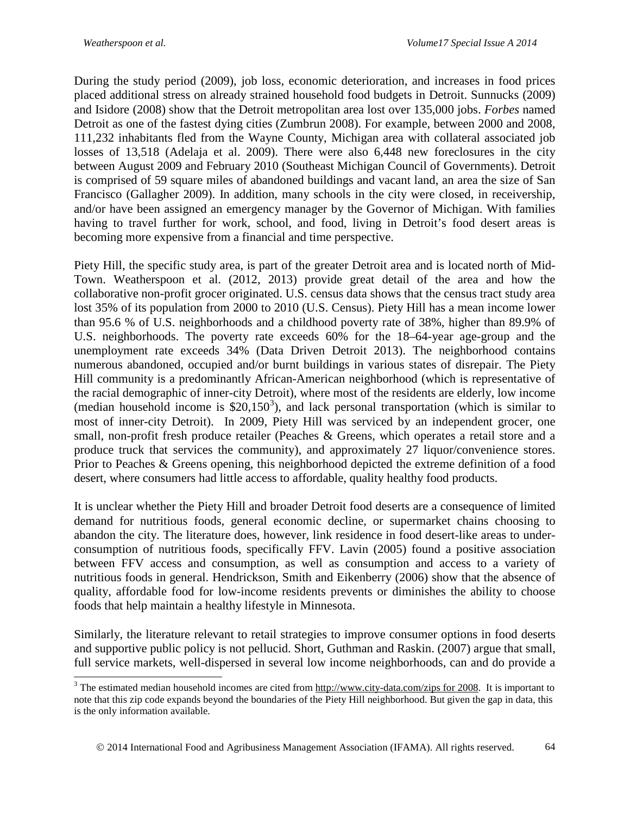During the study period (2009), job loss, economic deterioration, and increases in food prices placed additional stress on already strained household food budgets in Detroit. Sunnucks (2009) and Isidore (2008) show that the Detroit metropolitan area lost over 135,000 jobs. *Forbes* named Detroit as one of the fastest dying cities (Zumbrun 2008). For example, between 2000 and 2008, 111,232 inhabitants fled from the Wayne County, Michigan area with collateral associated job losses of 13,518 (Adelaja et al. 2009). There were also 6,448 new foreclosures in the city between August 2009 and February 2010 (Southeast Michigan Council of Governments). Detroit is comprised of 59 square miles of abandoned buildings and vacant land, an area the size of San Francisco (Gallagher 2009). In addition, many schools in the city were closed, in receivership, and/or have been assigned an emergency manager by the Governor of Michigan. With families having to travel further for work, school, and food, living in Detroit's food desert areas is becoming more expensive from a financial and time perspective.

Piety Hill, the specific study area, is part of the greater Detroit area and is located north of Mid-Town. Weatherspoon et al. (2012, 2013) provide great detail of the area and how the collaborative non-profit grocer originated. U.S. census data shows that the census tract study area lost 35% of its population from 2000 to 2010 (U.S. Census). Piety Hill has a mean income lower than 95.6 % of U.S. neighborhoods and a childhood poverty rate of 38%, higher than 89.9% of U.S. neighborhoods. The poverty rate exceeds 60% for the 18–64-year age-group and the unemployment rate exceeds 34% (Data Driven Detroit 2013). The neighborhood contains numerous abandoned, occupied and/or burnt buildings in various states of disrepair. The Piety Hill community is a predominantly African-American neighborhood (which is representative of the racial demographic of inner-city Detroit), where most of the residents are elderly, low income (median household income is  $$20,150^3$  $$20,150^3$ ), and lack personal transportation (which is similar to most of inner-city Detroit). In 2009, Piety Hill was serviced by an independent grocer, one small, non-profit fresh produce retailer (Peaches & Greens, which operates a retail store and a produce truck that services the community), and approximately 27 liquor/convenience stores. Prior to Peaches & Greens opening, this neighborhood depicted the extreme definition of a food desert, where consumers had little access to affordable, quality healthy food products.

It is unclear whether the Piety Hill and broader Detroit food deserts are a consequence of limited demand for nutritious foods, general economic decline, or supermarket chains choosing to abandon the city. The literature does, however, link residence in food desert-like areas to underconsumption of nutritious foods, specifically FFV. Lavin (2005) found a positive association between FFV access and consumption, as well as consumption and access to a variety of nutritious foods in general. Hendrickson, Smith and Eikenberry (2006) show that the absence of quality, affordable food for low-income residents prevents or diminishes the ability to choose foods that help maintain a healthy lifestyle in Minnesota.

Similarly, the literature relevant to retail strategies to improve consumer options in food deserts and supportive public policy is not pellucid. Short, Guthman and Raskin. (2007) argue that small, full service markets, well-dispersed in several low income neighborhoods, can and do provide a

<span id="page-3-0"></span><sup>&</sup>lt;sup>3</sup> The estimated median household incomes are cited fro[m http://www.city-data.com/zips for 2008.](http://www.city-data.com/zips%20for%202008) It is important to note that this zip code expands beyond the boundaries of the Piety Hill neighborhood. But given the gap in data, this is the only information available.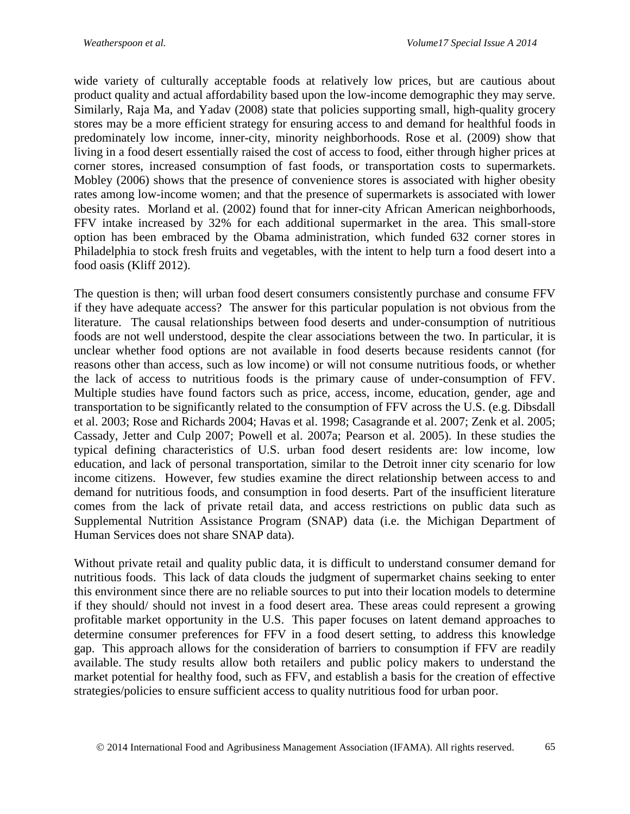wide variety of culturally acceptable foods at relatively low prices, but are cautious about product quality and actual affordability based upon the low-income demographic they may serve. Similarly, Raja Ma, and Yadav (2008) state that policies supporting small, high-quality grocery stores may be a more efficient strategy for ensuring access to and demand for healthful foods in predominately low income, inner-city, minority neighborhoods. Rose et al. (2009) show that living in a food desert essentially raised the cost of access to food, either through higher prices at corner stores, increased consumption of fast foods, or transportation costs to supermarkets. Mobley (2006) shows that the presence of convenience stores is associated with higher obesity rates among low-income women; and that the presence of supermarkets is associated with lower obesity rates. Morland et al. (2002) found that for inner-city African American neighborhoods, FFV intake increased by 32% for each additional supermarket in the area. This small-store option has been embraced by the Obama administration, which funded 632 corner stores in Philadelphia to stock fresh fruits and vegetables, with the intent to help turn a food desert into a food oasis (Kliff 2012).

The question is then; will urban food desert consumers consistently purchase and consume FFV if they have adequate access? The answer for this particular population is not obvious from the literature. The causal relationships between food deserts and under-consumption of nutritious foods are not well understood, despite the clear associations between the two. In particular, it is unclear whether food options are not available in food deserts because residents cannot (for reasons other than access, such as low income) or will not consume nutritious foods, or whether the lack of access to nutritious foods is the primary cause of under-consumption of FFV. Multiple studies have found factors such as price, access, income, education, gender, age and transportation to be significantly related to the consumption of FFV across the U.S. (e.g. Dibsdall et al. 2003; Rose and Richards 2004; Havas et al. 1998; Casagrande et al. 2007; Zenk et al. 2005; Cassady, Jetter and Culp 2007; Powell et al. 2007a; Pearson et al. 2005). In these studies the typical defining characteristics of U.S. urban food desert residents are: low income, low education, and lack of personal transportation, similar to the Detroit inner city scenario for low income citizens. However, few studies examine the direct relationship between access to and demand for nutritious foods, and consumption in food deserts. Part of the insufficient literature comes from the lack of private retail data, and access restrictions on public data such as Supplemental Nutrition Assistance Program (SNAP) data (i.e. the Michigan Department of Human Services does not share SNAP data).

Without private retail and quality public data, it is difficult to understand consumer demand for nutritious foods. This lack of data clouds the judgment of supermarket chains seeking to enter this environment since there are no reliable sources to put into their location models to determine if they should/ should not invest in a food desert area. These areas could represent a growing profitable market opportunity in the U.S. This paper focuses on latent demand approaches to determine consumer preferences for FFV in a food desert setting, to address this knowledge gap. This approach allows for the consideration of barriers to consumption if FFV are readily available. The study results allow both retailers and public policy makers to understand the market potential for healthy food, such as FFV, and establish a basis for the creation of effective strategies/policies to ensure sufficient access to quality nutritious food for urban poor.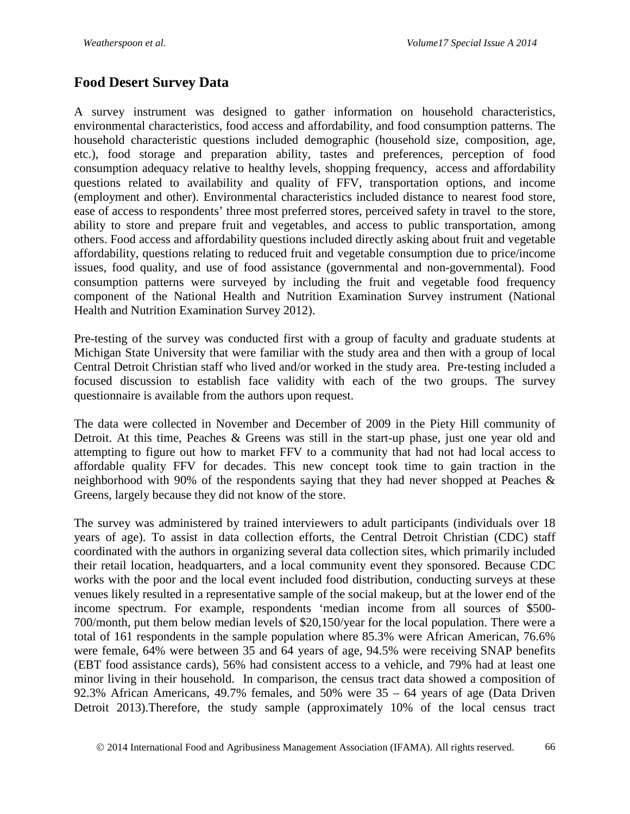# **Food Desert Survey Data**

A survey instrument was designed to gather information on household characteristics, environmental characteristics, food access and affordability, and food consumption patterns. The household characteristic questions included demographic (household size, composition, age, etc.), food storage and preparation ability, tastes and preferences, perception of food consumption adequacy relative to healthy levels, shopping frequency, access and affordability questions related to availability and quality of FFV, transportation options, and income (employment and other). Environmental characteristics included distance to nearest food store, ease of access to respondents' three most preferred stores, perceived safety in travel to the store, ability to store and prepare fruit and vegetables, and access to public transportation, among others. Food access and affordability questions included directly asking about fruit and vegetable affordability, questions relating to reduced fruit and vegetable consumption due to price/income issues, food quality, and use of food assistance (governmental and non-governmental). Food consumption patterns were surveyed by including the fruit and vegetable food frequency component of the National Health and Nutrition Examination Survey instrument (National Health and Nutrition Examination Survey 2012).

Pre-testing of the survey was conducted first with a group of faculty and graduate students at Michigan State University that were familiar with the study area and then with a group of local Central Detroit Christian staff who lived and/or worked in the study area. Pre-testing included a focused discussion to establish face validity with each of the two groups. The survey questionnaire is available from the authors upon request.

The data were collected in November and December of 2009 in the Piety Hill community of Detroit. At this time, Peaches & Greens was still in the start-up phase, just one year old and attempting to figure out how to market FFV to a community that had not had local access to affordable quality FFV for decades. This new concept took time to gain traction in the neighborhood with 90% of the respondents saying that they had never shopped at Peaches & Greens, largely because they did not know of the store.

The survey was administered by trained interviewers to adult participants (individuals over 18 years of age). To assist in data collection efforts, the Central Detroit Christian (CDC) staff coordinated with the authors in organizing several data collection sites, which primarily included their retail location, headquarters, and a local community event they sponsored. Because CDC works with the poor and the local event included food distribution, conducting surveys at these venues likely resulted in a representative sample of the social makeup, but at the lower end of the income spectrum. For example, respondents 'median income from all sources of \$500- 700/month, put them below median levels of \$20,150/year for the local population. There were a total of 161 respondents in the sample population where 85.3% were African American, 76.6% were female, 64% were between 35 and 64 years of age, 94.5% were receiving SNAP benefits (EBT food assistance cards), 56% had consistent access to a vehicle, and 79% had at least one minor living in their household. In comparison, the census tract data showed a composition of 92.3% African Americans, 49.7% females, and 50% were 35 – 64 years of age (Data Driven Detroit 2013).Therefore, the study sample (approximately 10% of the local census tract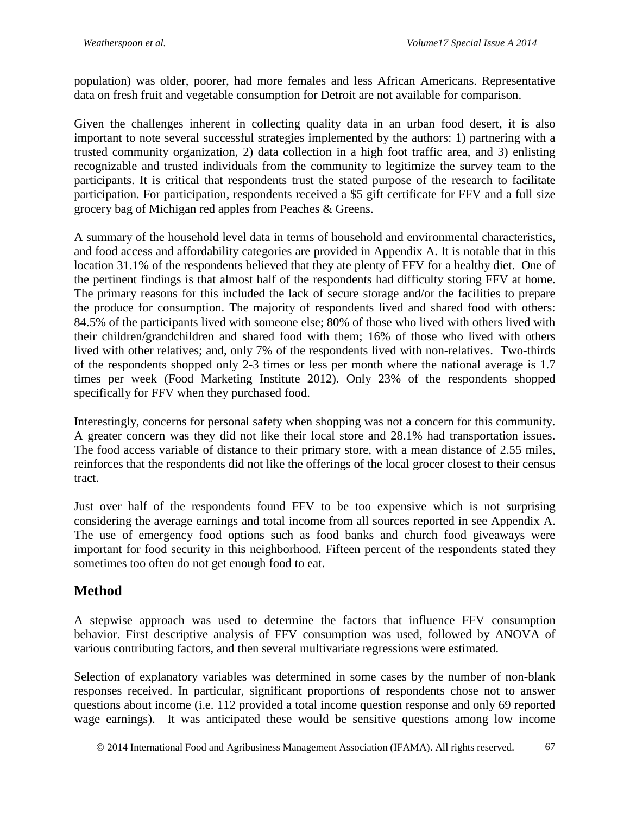population) was older, poorer, had more females and less African Americans. Representative data on fresh fruit and vegetable consumption for Detroit are not available for comparison.

Given the challenges inherent in collecting quality data in an urban food desert, it is also important to note several successful strategies implemented by the authors: 1) partnering with a trusted community organization, 2) data collection in a high foot traffic area, and 3) enlisting recognizable and trusted individuals from the community to legitimize the survey team to the participants. It is critical that respondents trust the stated purpose of the research to facilitate participation. For participation, respondents received a \$5 gift certificate for FFV and a full size grocery bag of Michigan red apples from Peaches & Greens.

A summary of the household level data in terms of household and environmental characteristics, and food access and affordability categories are provided in Appendix A. It is notable that in this location 31.1% of the respondents believed that they ate plenty of FFV for a healthy diet. One of the pertinent findings is that almost half of the respondents had difficulty storing FFV at home. The primary reasons for this included the lack of secure storage and/or the facilities to prepare the produce for consumption. The majority of respondents lived and shared food with others: 84.5% of the participants lived with someone else; 80% of those who lived with others lived with their children/grandchildren and shared food with them; 16% of those who lived with others lived with other relatives; and, only 7% of the respondents lived with non-relatives. Two-thirds of the respondents shopped only 2-3 times or less per month where the national average is 1.7 times per week (Food Marketing Institute 2012). Only 23% of the respondents shopped specifically for FFV when they purchased food.

Interestingly, concerns for personal safety when shopping was not a concern for this community. A greater concern was they did not like their local store and 28.1% had transportation issues. The food access variable of distance to their primary store, with a mean distance of 2.55 miles, reinforces that the respondents did not like the offerings of the local grocer closest to their census tract.

Just over half of the respondents found FFV to be too expensive which is not surprising considering the average earnings and total income from all sources reported in see Appendix A. The use of emergency food options such as food banks and church food giveaways were important for food security in this neighborhood. Fifteen percent of the respondents stated they sometimes too often do not get enough food to eat.

# **Method**

A stepwise approach was used to determine the factors that influence FFV consumption behavior. First descriptive analysis of FFV consumption was used, followed by ANOVA of various contributing factors, and then several multivariate regressions were estimated.

Selection of explanatory variables was determined in some cases by the number of non-blank responses received. In particular, significant proportions of respondents chose not to answer questions about income (i.e. 112 provided a total income question response and only 69 reported wage earnings). It was anticipated these would be sensitive questions among low income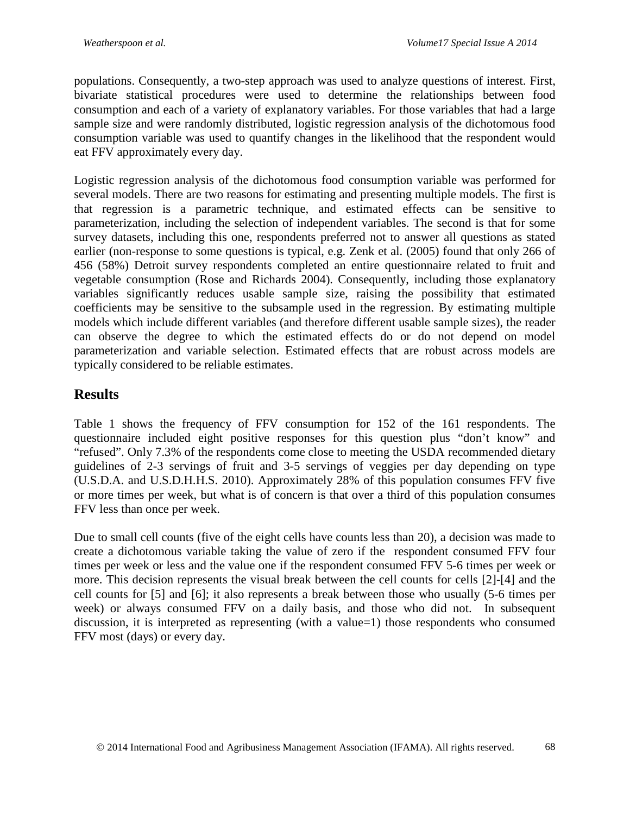populations. Consequently, a two-step approach was used to analyze questions of interest. First, bivariate statistical procedures were used to determine the relationships between food consumption and each of a variety of explanatory variables. For those variables that had a large sample size and were randomly distributed, logistic regression analysis of the dichotomous food consumption variable was used to quantify changes in the likelihood that the respondent would eat FFV approximately every day.

Logistic regression analysis of the dichotomous food consumption variable was performed for several models. There are two reasons for estimating and presenting multiple models. The first is that regression is a parametric technique, and estimated effects can be sensitive to parameterization, including the selection of independent variables. The second is that for some survey datasets, including this one, respondents preferred not to answer all questions as stated earlier (non-response to some questions is typical, e.g. Zenk et al. (2005) found that only 266 of 456 (58%) Detroit survey respondents completed an entire questionnaire related to fruit and vegetable consumption (Rose and Richards 2004). Consequently, including those explanatory variables significantly reduces usable sample size, raising the possibility that estimated coefficients may be sensitive to the subsample used in the regression. By estimating multiple models which include different variables (and therefore different usable sample sizes), the reader can observe the degree to which the estimated effects do or do not depend on model parameterization and variable selection. Estimated effects that are robust across models are typically considered to be reliable estimates.

## **Results**

Table 1 shows the frequency of FFV consumption for 152 of the 161 respondents. The questionnaire included eight positive responses for this question plus "don't know" and "refused". Only 7.3% of the respondents come close to meeting the USDA recommended dietary guidelines of 2-3 servings of fruit and 3-5 servings of veggies per day depending on type (U.S.D.A. and U.S.D.H.H.S. 2010). Approximately 28% of this population consumes FFV five or more times per week, but what is of concern is that over a third of this population consumes FFV less than once per week.

Due to small cell counts (five of the eight cells have counts less than 20), a decision was made to create a dichotomous variable taking the value of zero if the respondent consumed FFV four times per week or less and the value one if the respondent consumed FFV 5-6 times per week or more. This decision represents the visual break between the cell counts for cells [2]-[4] and the cell counts for [5] and [6]; it also represents a break between those who usually (5-6 times per week) or always consumed FFV on a daily basis, and those who did not. In subsequent discussion, it is interpreted as representing (with a value=1) those respondents who consumed FFV most (days) or every day.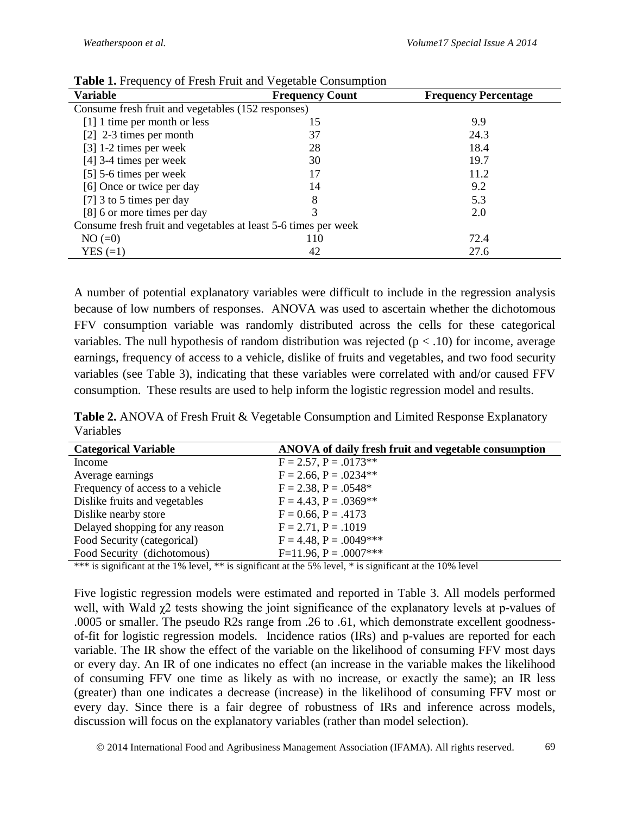| <b>rable 1.</b> Producity of Presil Plan and vegetable Consumption |                        |                             |  |  |  |
|--------------------------------------------------------------------|------------------------|-----------------------------|--|--|--|
| <b>Variable</b>                                                    | <b>Frequency Count</b> | <b>Frequency Percentage</b> |  |  |  |
| Consume fresh fruit and vegetables (152 responses)                 |                        |                             |  |  |  |
| [1] 1 time per month or less                                       | 15                     | 9.9                         |  |  |  |
| $[2]$ 2-3 times per month                                          | 37                     | 24.3                        |  |  |  |
| $[3]$ 1-2 times per week                                           | 28                     | 18.4                        |  |  |  |
| $[4]$ 3-4 times per week                                           | 30                     | 19.7                        |  |  |  |
| $[5]$ 5-6 times per week                                           |                        | 11.2                        |  |  |  |
| [6] Once or twice per day                                          | 14                     | 9.2                         |  |  |  |
| [7] 3 to 5 times per day                                           | 8                      | 5.3                         |  |  |  |
| [8] 6 or more times per day                                        |                        | 2.0                         |  |  |  |
| Consume fresh fruit and vegetables at least 5-6 times per week     |                        |                             |  |  |  |
| $NO (=0)$                                                          | 110                    | 72.4                        |  |  |  |
| $YES (=1)$                                                         | 42                     | 27.6                        |  |  |  |

A number of potential explanatory variables were difficult to include in the regression analysis because of low numbers of responses. ANOVA was used to ascertain whether the dichotomous FFV consumption variable was randomly distributed across the cells for these categorical variables. The null hypothesis of random distribution was rejected ( $p < .10$ ) for income, average earnings, frequency of access to a vehicle, dislike of fruits and vegetables, and two food security variables (see Table 3), indicating that these variables were correlated with and/or caused FFV consumption. These results are used to help inform the logistic regression model and results.

**Table 2.** ANOVA of Fresh Fruit & Vegetable Consumption and Limited Response Explanatory Variables

| <b>Categorical Variable</b>      | ANOVA of daily fresh fruit and vegetable consumption |
|----------------------------------|------------------------------------------------------|
| Income                           | $F = 2.57$ , $P = .0173**$                           |
| Average earnings                 | $F = 2.66$ , $P = .0234**$                           |
| Frequency of access to a vehicle | $F = 2.38$ , $P = .0548*$                            |
| Dislike fruits and vegetables    | $F = 4.43$ , $P = .0369**$                           |
| Dislike nearby store             | $F = 0.66, P = .4173$                                |
| Delayed shopping for any reason  | $F = 2.71, P = .1019$                                |
| Food Security (categorical)      | $F = 4.48$ , $P = .0049$ ***                         |
| Food Security (dichotomous)      | $F=11.96$ , $P=.0007***$                             |

\*\*\* is significant at the 1% level, \*\* is significant at the 5% level, \* is significant at the 10% level

Five logistic regression models were estimated and reported in Table 3. All models performed well, with Wald  $\chi$ 2 tests showing the joint significance of the explanatory levels at p-values of .0005 or smaller. The pseudo R2s range from .26 to .61, which demonstrate excellent goodnessof-fit for logistic regression models. Incidence ratios (IRs) and p-values are reported for each variable. The IR show the effect of the variable on the likelihood of consuming FFV most days or every day. An IR of one indicates no effect (an increase in the variable makes the likelihood of consuming FFV one time as likely as with no increase, or exactly the same); an IR less (greater) than one indicates a decrease (increase) in the likelihood of consuming FFV most or every day. Since there is a fair degree of robustness of IRs and inference across models, discussion will focus on the explanatory variables (rather than model selection).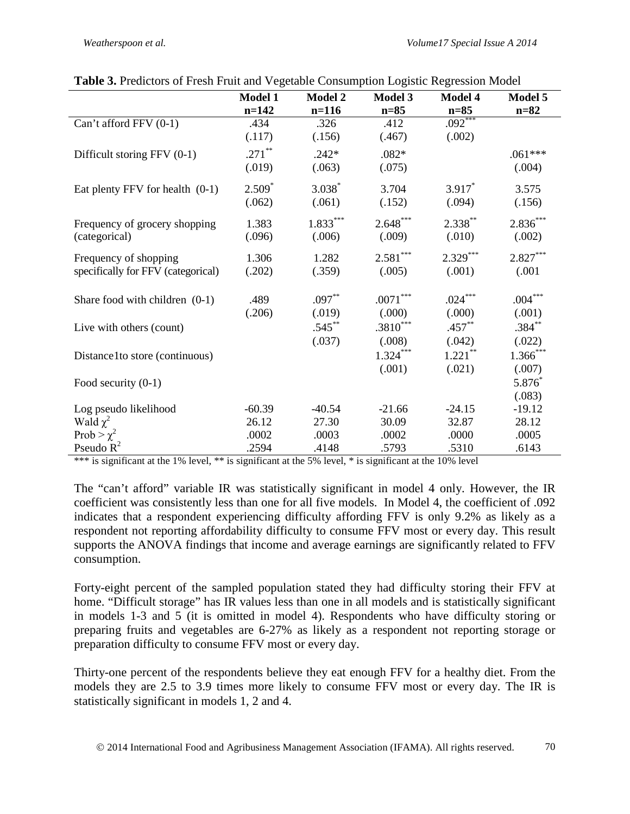|                                    | <b>Model 1</b> | <b>Model 2</b> | <b>Model 3</b>         | <b>Model 4</b> | Model 5    |
|------------------------------------|----------------|----------------|------------------------|----------------|------------|
|                                    | $n=142$        | $n=116$        | $n=85$                 | $n=85$         | $n=82$     |
| Can't afford $FFV(0-1)$            | .434           | .326           | .412                   | $.092***$      |            |
|                                    | (.117)         | (.156)         | (.467)                 | (.002)         |            |
| Difficult storing FFV (0-1)        | $.271$ **      | $.242*$        | $.082*$                |                | $.061***$  |
|                                    | (.019)         | (.063)         | (.075)                 |                | (.004)     |
| Eat plenty FFV for health $(0-1)$  | $2.509*$       | $3.038*$       | 3.704                  | $3.917*$       | 3.575      |
|                                    | (.062)         | (.061)         | (.152)                 | (.094)         | (.156)     |
| Frequency of grocery shopping      | 1.383          | $1.833***$     | $2.648***$             | $2.338***$     | $2.836***$ |
| (categorical)                      | (.096)         | (.006)         | (.009)                 | (.010)         | (.002)     |
| Frequency of shopping              | 1.306          | 1.282          | $2.581***$             | $2.329***$     | $2.827***$ |
| specifically for FFV (categorical) | (.202)         | (.359)         | (.005)                 | (.001)         | (.001)     |
| Share food with children $(0-1)$   | .489           | $.097**$       | $.0071^{\ast\ast\ast}$ | $.024***$      | $.004***$  |
|                                    | (.206)         | (.019)         | (.000)                 | (.000)         | (.001)     |
| Live with others (count)           |                | $.545$ **      | $.3810***$             | $.457**$       | $.384***$  |
|                                    |                | (.037)         | (.008)                 | (.042)         | (.022)     |
| Distance 1 to store (continuous)   |                |                | $1.324***$             | $1.221$ **     | $1.366***$ |
|                                    |                |                | (.001)                 | (.021)         | (.007)     |
| Food security $(0-1)$              |                |                |                        |                | $5.876*$   |
|                                    |                |                |                        |                | (.083)     |
| Log pseudo likelihood              | $-60.39$       | $-40.54$       | $-21.66$               | $-24.15$       | $-19.12$   |
| Wald $\chi^2$                      | 26.12          | 27.30          | 30.09                  | 32.87          | 28.12      |
| Prob > $\chi^2$                    | .0002          | .0003          | .0002                  | .0000          | .0005      |
| Pseudo $R^2$                       | .2594          | .4148          | .5793                  | .5310          | .6143      |

| Table 3. Predictors of Fresh Fruit and Vegetable Consumption Logistic Regression Model |  |  |
|----------------------------------------------------------------------------------------|--|--|
|                                                                                        |  |  |

\*\*\* is significant at the 1% level, \*\* is significant at the 5% level, \* is significant at the 10% level

The "can't afford" variable IR was statistically significant in model 4 only. However, the IR coefficient was consistently less than one for all five models. In Model 4, the coefficient of .092 indicates that a respondent experiencing difficulty affording FFV is only 9.2% as likely as a respondent not reporting affordability difficulty to consume FFV most or every day. This result supports the ANOVA findings that income and average earnings are significantly related to FFV consumption.

Forty-eight percent of the sampled population stated they had difficulty storing their FFV at home. "Difficult storage" has IR values less than one in all models and is statistically significant in models 1-3 and 5 (it is omitted in model 4). Respondents who have difficulty storing or preparing fruits and vegetables are 6-27% as likely as a respondent not reporting storage or preparation difficulty to consume FFV most or every day.

Thirty-one percent of the respondents believe they eat enough FFV for a healthy diet. From the models they are 2.5 to 3.9 times more likely to consume FFV most or every day. The IR is statistically significant in models 1, 2 and 4.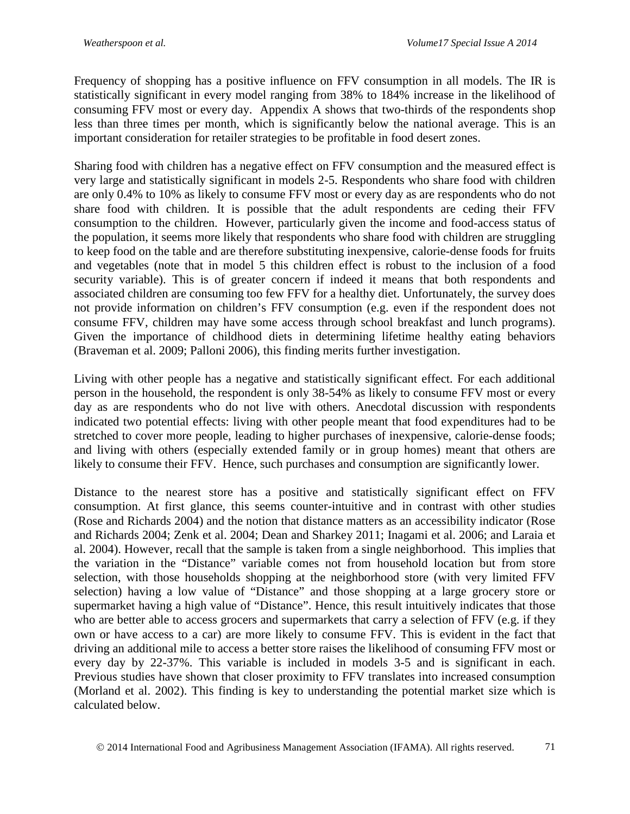Frequency of shopping has a positive influence on FFV consumption in all models. The IR is statistically significant in every model ranging from 38% to 184% increase in the likelihood of consuming FFV most or every day. Appendix A shows that two-thirds of the respondents shop less than three times per month, which is significantly below the national average. This is an important consideration for retailer strategies to be profitable in food desert zones.

Sharing food with children has a negative effect on FFV consumption and the measured effect is very large and statistically significant in models 2-5. Respondents who share food with children are only 0.4% to 10% as likely to consume FFV most or every day as are respondents who do not share food with children. It is possible that the adult respondents are ceding their FFV consumption to the children. However, particularly given the income and food-access status of the population, it seems more likely that respondents who share food with children are struggling to keep food on the table and are therefore substituting inexpensive, calorie-dense foods for fruits and vegetables (note that in model 5 this children effect is robust to the inclusion of a food security variable). This is of greater concern if indeed it means that both respondents and associated children are consuming too few FFV for a healthy diet. Unfortunately, the survey does not provide information on children's FFV consumption (e.g. even if the respondent does not consume FFV, children may have some access through school breakfast and lunch programs). Given the importance of childhood diets in determining lifetime healthy eating behaviors (Braveman et al. 2009; Palloni 2006), this finding merits further investigation.

Living with other people has a negative and statistically significant effect. For each additional person in the household, the respondent is only 38-54% as likely to consume FFV most or every day as are respondents who do not live with others. Anecdotal discussion with respondents indicated two potential effects: living with other people meant that food expenditures had to be stretched to cover more people, leading to higher purchases of inexpensive, calorie-dense foods; and living with others (especially extended family or in group homes) meant that others are likely to consume their FFV. Hence, such purchases and consumption are significantly lower.

Distance to the nearest store has a positive and statistically significant effect on FFV consumption. At first glance, this seems counter-intuitive and in contrast with other studies (Rose and Richards 2004) and the notion that distance matters as an accessibility indicator (Rose and Richards 2004; Zenk et al. 2004; Dean and Sharkey 2011; Inagami et al. 2006; and Laraia et al. 2004). However, recall that the sample is taken from a single neighborhood. This implies that the variation in the "Distance" variable comes not from household location but from store selection, with those households shopping at the neighborhood store (with very limited FFV selection) having a low value of "Distance" and those shopping at a large grocery store or supermarket having a high value of "Distance". Hence, this result intuitively indicates that those who are better able to access grocers and supermarkets that carry a selection of FFV (e.g. if they own or have access to a car) are more likely to consume FFV. This is evident in the fact that driving an additional mile to access a better store raises the likelihood of consuming FFV most or every day by 22-37%. This variable is included in models 3-5 and is significant in each. Previous studies have shown that closer proximity to FFV translates into increased consumption (Morland et al. 2002). This finding is key to understanding the potential market size which is calculated below.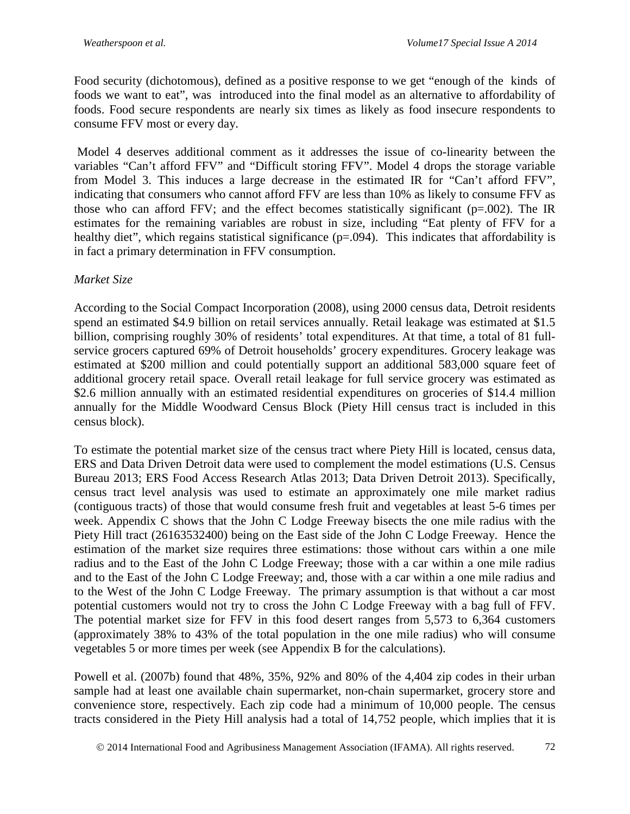Food security (dichotomous), defined as a positive response to we get "enough of the kinds of foods we want to eat", was introduced into the final model as an alternative to affordability of foods. Food secure respondents are nearly six times as likely as food insecure respondents to consume FFV most or every day.

Model 4 deserves additional comment as it addresses the issue of co-linearity between the variables "Can't afford FFV" and "Difficult storing FFV". Model 4 drops the storage variable from Model 3. This induces a large decrease in the estimated IR for "Can't afford FFV", indicating that consumers who cannot afford FFV are less than 10% as likely to consume FFV as those who can afford FFV; and the effect becomes statistically significant ( $p=.002$ ). The IR estimates for the remaining variables are robust in size, including "Eat plenty of FFV for a healthy diet", which regains statistical significance (p=.094). This indicates that affordability is in fact a primary determination in FFV consumption.

### *Market Size*

According to the Social Compact Incorporation (2008), using 2000 census data, Detroit residents spend an estimated \$4.9 billion on retail services annually. Retail leakage was estimated at \$1.5 billion, comprising roughly 30% of residents' total expenditures. At that time, a total of 81 fullservice grocers captured 69% of Detroit households' grocery expenditures. Grocery leakage was estimated at \$200 million and could potentially support an additional 583,000 square feet of additional grocery retail space. Overall retail leakage for full service grocery was estimated as \$2.6 million annually with an estimated residential expenditures on groceries of \$14.4 million annually for the Middle Woodward Census Block (Piety Hill census tract is included in this census block).

To estimate the potential market size of the census tract where Piety Hill is located, census data, ERS and Data Driven Detroit data were used to complement the model estimations (U.S. Census Bureau 2013; ERS Food Access Research Atlas 2013; Data Driven Detroit 2013). Specifically, census tract level analysis was used to estimate an approximately one mile market radius (contiguous tracts) of those that would consume fresh fruit and vegetables at least 5-6 times per week. Appendix C shows that the John C Lodge Freeway bisects the one mile radius with the Piety Hill tract (26163532400) being on the East side of the John C Lodge Freeway. Hence the estimation of the market size requires three estimations: those without cars within a one mile radius and to the East of the John C Lodge Freeway; those with a car within a one mile radius and to the East of the John C Lodge Freeway; and, those with a car within a one mile radius and to the West of the John C Lodge Freeway. The primary assumption is that without a car most potential customers would not try to cross the John C Lodge Freeway with a bag full of FFV. The potential market size for FFV in this food desert ranges from 5,573 to 6,364 customers (approximately 38% to 43% of the total population in the one mile radius) who will consume vegetables 5 or more times per week (see Appendix B for the calculations).

Powell et al. (2007b) found that 48%, 35%, 92% and 80% of the 4,404 zip codes in their urban sample had at least one available chain supermarket, non-chain supermarket, grocery store and convenience store, respectively. Each zip code had a minimum of 10,000 people. The census tracts considered in the Piety Hill analysis had a total of 14,752 people, which implies that it is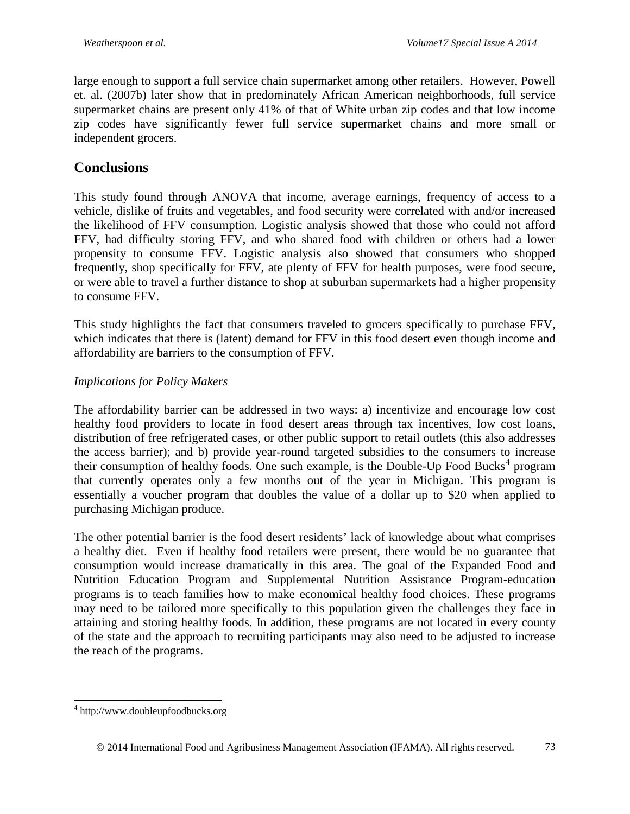large enough to support a full service chain supermarket among other retailers. However, Powell et. al. (2007b) later show that in predominately African American neighborhoods, full service supermarket chains are present only 41% of that of White urban zip codes and that low income zip codes have significantly fewer full service supermarket chains and more small or independent grocers.

## **Conclusions**

This study found through ANOVA that income, average earnings, frequency of access to a vehicle, dislike of fruits and vegetables, and food security were correlated with and/or increased the likelihood of FFV consumption. Logistic analysis showed that those who could not afford FFV, had difficulty storing FFV, and who shared food with children or others had a lower propensity to consume FFV. Logistic analysis also showed that consumers who shopped frequently, shop specifically for FFV, ate plenty of FFV for health purposes, were food secure, or were able to travel a further distance to shop at suburban supermarkets had a higher propensity to consume FFV.

This study highlights the fact that consumers traveled to grocers specifically to purchase FFV, which indicates that there is (latent) demand for FFV in this food desert even though income and affordability are barriers to the consumption of FFV.

#### *Implications for Policy Makers*

The affordability barrier can be addressed in two ways: a) incentivize and encourage low cost healthy food providers to locate in food desert areas through tax incentives, low cost loans, distribution of free refrigerated cases, or other public support to retail outlets (this also addresses the access barrier); and b) provide year-round targeted subsidies to the consumers to increase their consumption of healthy foods. One such example, is the Double-Up Food Bucks<sup>[4](#page-12-0)</sup> program that currently operates only a few months out of the year in Michigan. This program is essentially a voucher program that doubles the value of a dollar up to \$20 when applied to purchasing Michigan produce.

The other potential barrier is the food desert residents' lack of knowledge about what comprises a healthy diet. Even if healthy food retailers were present, there would be no guarantee that consumption would increase dramatically in this area. The goal of the Expanded Food and Nutrition Education Program and Supplemental Nutrition Assistance Program-education programs is to teach families how to make economical healthy food choices. These programs may need to be tailored more specifically to this population given the challenges they face in attaining and storing healthy foods. In addition, these programs are not located in every county of the state and the approach to recruiting participants may also need to be adjusted to increase the reach of the programs.

<span id="page-12-0"></span> <sup>4</sup> [http://www.doubleupfoodbucks.org](http://www.doubleupfoodbucks.org/)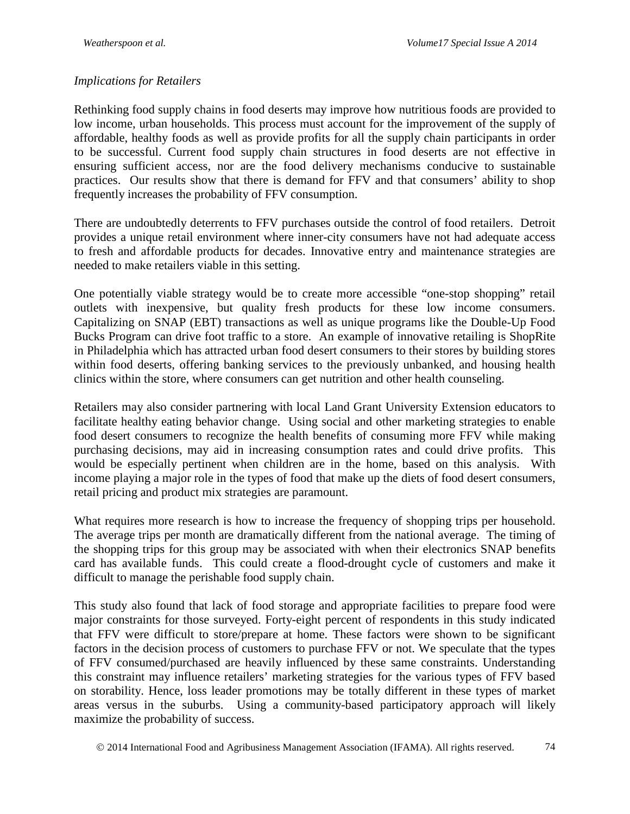#### *Implications for Retailers*

Rethinking food supply chains in food deserts may improve how nutritious foods are provided to low income, urban households. This process must account for the improvement of the supply of affordable, healthy foods as well as provide profits for all the supply chain participants in order to be successful. Current food supply chain structures in food deserts are not effective in ensuring sufficient access, nor are the food delivery mechanisms conducive to sustainable practices. Our results show that there is demand for FFV and that consumers' ability to shop frequently increases the probability of FFV consumption.

There are undoubtedly deterrents to FFV purchases outside the control of food retailers. Detroit provides a unique retail environment where inner-city consumers have not had adequate access to fresh and affordable products for decades. Innovative entry and maintenance strategies are needed to make retailers viable in this setting.

One potentially viable strategy would be to create more accessible "one-stop shopping" retail outlets with inexpensive, but quality fresh products for these low income consumers. Capitalizing on SNAP (EBT) transactions as well as unique programs like the Double-Up Food Bucks Program can drive foot traffic to a store. An example of innovative retailing is ShopRite in Philadelphia which has attracted urban food desert consumers to their stores by building stores within food deserts, offering banking services to the previously unbanked, and housing health clinics within the store, where consumers can get nutrition and other health counseling.

Retailers may also consider partnering with local Land Grant University Extension educators to facilitate healthy eating behavior change. Using social and other marketing strategies to enable food desert consumers to recognize the health benefits of consuming more FFV while making purchasing decisions, may aid in increasing consumption rates and could drive profits. This would be especially pertinent when children are in the home, based on this analysis. With income playing a major role in the types of food that make up the diets of food desert consumers, retail pricing and product mix strategies are paramount.

What requires more research is how to increase the frequency of shopping trips per household. The average trips per month are dramatically different from the national average. The timing of the shopping trips for this group may be associated with when their electronics SNAP benefits card has available funds. This could create a flood-drought cycle of customers and make it difficult to manage the perishable food supply chain.

This study also found that lack of food storage and appropriate facilities to prepare food were major constraints for those surveyed. Forty-eight percent of respondents in this study indicated that FFV were difficult to store/prepare at home. These factors were shown to be significant factors in the decision process of customers to purchase FFV or not. We speculate that the types of FFV consumed/purchased are heavily influenced by these same constraints. Understanding this constraint may influence retailers' marketing strategies for the various types of FFV based on storability. Hence, loss leader promotions may be totally different in these types of market areas versus in the suburbs. Using a community-based participatory approach will likely maximize the probability of success.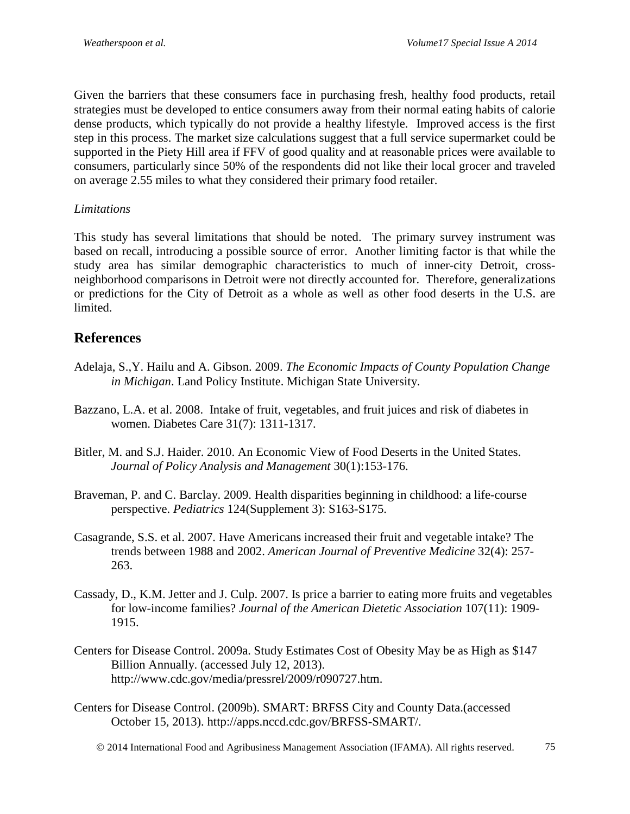Given the barriers that these consumers face in purchasing fresh, healthy food products, retail strategies must be developed to entice consumers away from their normal eating habits of calorie dense products, which typically do not provide a healthy lifestyle. Improved access is the first step in this process. The market size calculations suggest that a full service supermarket could be supported in the Piety Hill area if FFV of good quality and at reasonable prices were available to consumers, particularly since 50% of the respondents did not like their local grocer and traveled on average 2.55 miles to what they considered their primary food retailer.

#### *Limitations*

This study has several limitations that should be noted. The primary survey instrument was based on recall, introducing a possible source of error. Another limiting factor is that while the study area has similar demographic characteristics to much of inner-city Detroit, crossneighborhood comparisons in Detroit were not directly accounted for. Therefore, generalizations or predictions for the City of Detroit as a whole as well as other food deserts in the U.S. are limited.

### **References**

- Adelaja, S.,Y. Hailu and A. Gibson. 2009. *The Economic Impacts of County Population Change in Michigan*. Land Policy Institute. Michigan State University.
- Bazzano, L.A. et al. 2008. Intake of fruit, vegetables, and fruit juices and risk of diabetes in women. Diabetes Care 31(7): 1311-1317.
- Bitler, M. and S.J. Haider. 2010. An Economic View of Food Deserts in the United States. *Journal of Policy Analysis and Management* 30(1):153-176.
- Braveman, P. and C. Barclay. 2009. Health disparities beginning in childhood: a life-course perspective. *Pediatrics* 124(Supplement 3): S163-S175.
- Casagrande, S.S. et al. 2007. Have Americans increased their fruit and vegetable intake? The trends between 1988 and 2002. *American Journal of Preventive Medicine* 32(4): 257- 263.
- Cassady, D., K.M. Jetter and J. Culp. 2007. Is price a barrier to eating more fruits and vegetables for low-income families? *Journal of the American Dietetic Association* 107(11): 1909- 1915.
- Centers for Disease Control. 2009a. Study Estimates Cost of Obesity May be as High as \$147 Billion Annually. (accessed July 12, 2013). http://www.cdc.gov/media/pressrel/2009/r090727.htm.
- Centers for Disease Control. (2009b). SMART: BRFSS City and County Data.(accessed October 15, 2013). http://apps.nccd.cdc.gov/BRFSS-SMART/.
	- 2014 International Food and Agribusiness Management Association (IFAMA). All rights reserved. 75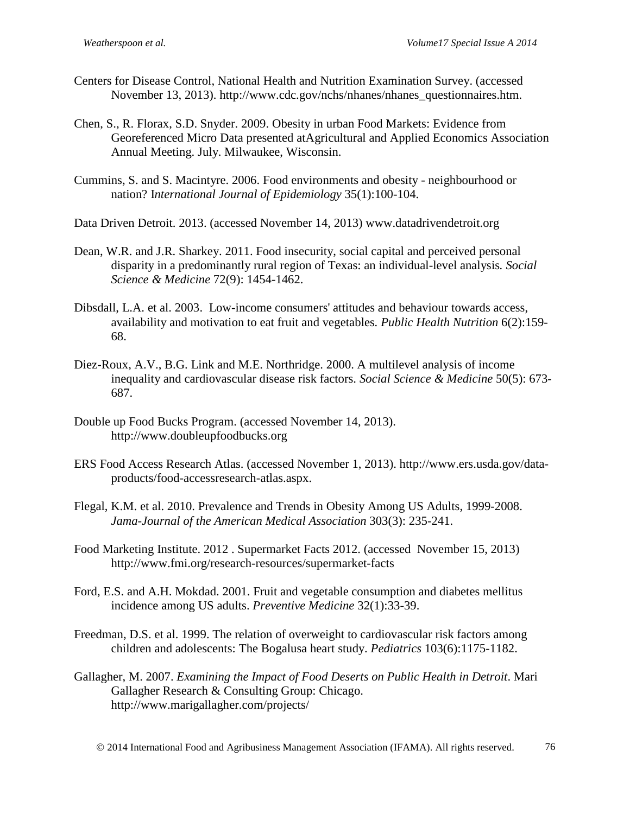- Centers for Disease Control, National Health and Nutrition Examination Survey. (accessed November 13, 2013). http://www.cdc.gov/nchs/nhanes/nhanes\_questionnaires.htm.
- Chen, S., R. Florax, S.D. Snyder. 2009. Obesity in urban Food Markets: Evidence from Georeferenced Micro Data presented atAgricultural and Applied Economics Association Annual Meeting. July. Milwaukee, Wisconsin.
- Cummins, S. and S. Macintyre. 2006. Food environments and obesity neighbourhood or nation? I*nternational Journal of Epidemiology* 35(1):100-104.
- Data Driven Detroit. 2013. (accessed November 14, 2013) www.datadrivendetroit.org
- Dean, W.R. and J.R. Sharkey. 2011. Food insecurity, social capital and perceived personal disparity in a predominantly rural region of Texas: an individual-level analysis*. Social Science & Medicine* 72(9): 1454-1462.
- Dibsdall, L.A. et al. 2003. Low-income consumers' attitudes and behaviour towards access, availability and motivation to eat fruit and vegetables*. Public Health Nutrition* 6(2):159- 68.
- Diez-Roux, A.V., B.G. Link and M.E. Northridge. 2000. A multilevel analysis of income inequality and cardiovascular disease risk factors. *Social Science & Medicine* 50(5): 673- 687.
- Double up Food Bucks Program. (accessed November 14, 2013). http://www.doubleupfoodbucks.org
- ERS Food Access Research Atlas. (accessed November 1, 2013). http://www.ers.usda.gov/dataproducts/food-accessresearch-atlas.aspx.
- Flegal, K.M. et al. 2010. Prevalence and Trends in Obesity Among US Adults, 1999-2008. *Jama-Journal of the American Medical Association* 303(3): 235-241.
- Food Marketing Institute. 2012 . Supermarket Facts 2012. (accessed November 15, 2013) http://www.fmi.org/research-resources/supermarket-facts
- Ford, E.S. and A.H. Mokdad. 2001. Fruit and vegetable consumption and diabetes mellitus incidence among US adults. *Preventive Medicine* 32(1):33-39.
- Freedman, D.S. et al. 1999. The relation of overweight to cardiovascular risk factors among children and adolescents: The Bogalusa heart study. *Pediatrics* 103(6):1175-1182.
- Gallagher, M. 2007. *Examining the Impact of Food Deserts on Public Health in Detroit*. Mari Gallagher Research & Consulting Group: Chicago. http://www.marigallagher.com/projects/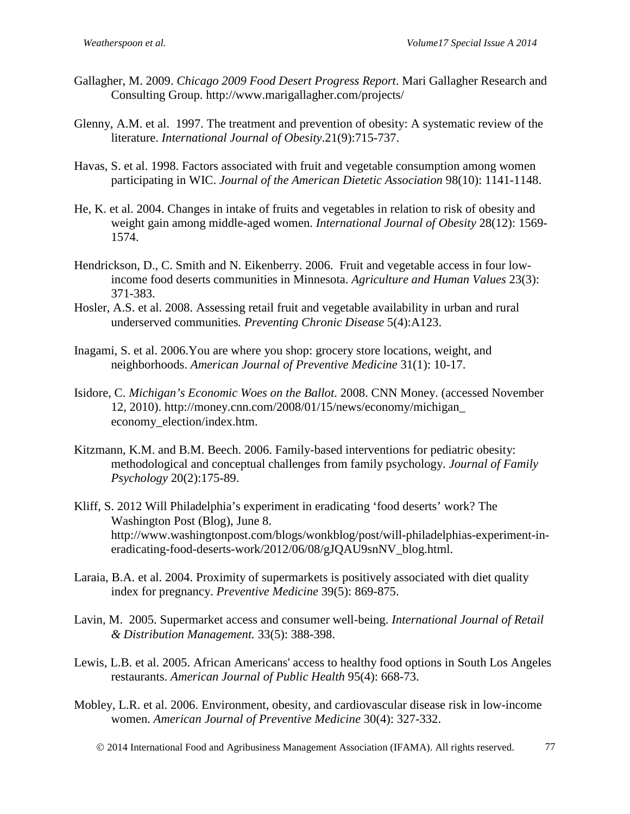- Gallagher, M. 2009. *Chicago 2009 Food Desert Progress Report*. Mari Gallagher Research and Consulting Group. http://www.marigallagher.com/projects/
- Glenny, A.M. et al. 1997. The treatment and prevention of obesity: A systematic review of the literature. *International Journal of Obesity*.21(9):715-737.
- Havas, S. et al. 1998. Factors associated with fruit and vegetable consumption among women participating in WIC. *Journal of the American Dietetic Association* 98(10): 1141-1148.
- He, K. et al. 2004. Changes in intake of fruits and vegetables in relation to risk of obesity and weight gain among middle-aged women. *International Journal of Obesity* 28(12): 1569- 1574.
- Hendrickson, D., C. Smith and N. Eikenberry. 2006. Fruit and vegetable access in four lowincome food deserts communities in Minnesota. *Agriculture and Human Values* 23(3): 371-383.
- Hosler, A.S. et al. 2008. Assessing retail fruit and vegetable availability in urban and rural underserved communities*. Preventing Chronic Disease* 5(4):A123.
- Inagami, S. et al. 2006.You are where you shop: grocery store locations, weight, and neighborhoods. *American Journal of Preventive Medicine* 31(1): 10-17.
- Isidore, C. *Michigan's Economic Woes on the Ballot*. 2008. CNN Money. (accessed November 12, 2010). http://money.cnn.com/2008/01/15/news/economy/michigan\_ economy\_election/index.htm.
- Kitzmann, K.M. and B.M. Beech. 2006. Family-based interventions for pediatric obesity: methodological and conceptual challenges from family psychology. *Journal of Family Psychology* 20(2):175-89.
- Kliff, S. 2012 Will Philadelphia's experiment in eradicating 'food deserts' work? The Washington Post (Blog), June 8. http://www.washingtonpost.com/blogs/wonkblog/post/will-philadelphias-experiment-ineradicating-food-deserts-work/2012/06/08/gJQAU9snNV\_blog.html.
- Laraia, B.A. et al. 2004. Proximity of supermarkets is positively associated with diet quality index for pregnancy. *Preventive Medicine* 39(5): 869-875.
- Lavin, M. 2005. Supermarket access and consumer well-being. *International Journal of Retail & Distribution Management.* 33(5): 388-398.
- Lewis, L.B. et al. 2005. African Americans' access to healthy food options in South Los Angeles restaurants. *American Journal of Public Health* 95(4): 668-73.
- Mobley, L.R. et al. 2006. Environment, obesity, and cardiovascular disease risk in low-income women. *American Journal of Preventive Medicine* 30(4): 327-332.

2014 International Food and Agribusiness Management Association (IFAMA). All rights reserved. 77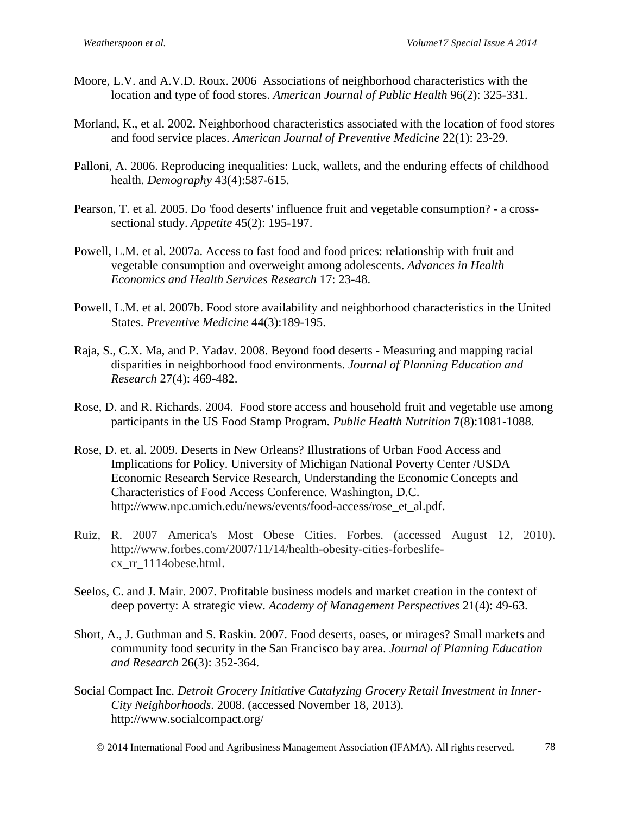- Moore, L.V. and A.V.D. Roux. 2006 Associations of neighborhood characteristics with the location and type of food stores. *American Journal of Public Health* 96(2): 325-331.
- Morland, K., et al. 2002. Neighborhood characteristics associated with the location of food stores and food service places. *American Journal of Preventive Medicine* 22(1): 23-29.
- Palloni, A. 2006. Reproducing inequalities: Luck, wallets, and the enduring effects of childhood health*. Demography* 43(4):587-615.
- Pearson, T. et al. 2005. Do 'food deserts' influence fruit and vegetable consumption? a crosssectional study. *Appetite* 45(2): 195-197.
- Powell, L.M. et al. 2007a. Access to fast food and food prices: relationship with fruit and vegetable consumption and overweight among adolescents. *Advances in Health Economics and Health Services Research* 17: 23-48.
- Powell, L.M. et al. 2007b. Food store availability and neighborhood characteristics in the United States. *Preventive Medicine* 44(3):189-195.
- Raja, S., C.X. Ma, and P. Yadav. 2008. Beyond food deserts Measuring and mapping racial disparities in neighborhood food environments. *Journal of Planning Education and Research* 27(4): 469-482.
- Rose, D. and R. Richards. 2004. Food store access and household fruit and vegetable use among participants in the US Food Stamp Program*. Public Health Nutrition* **7**(8):1081-1088.
- Rose, D. et. al. 2009. Deserts in New Orleans? Illustrations of Urban Food Access and Implications for Policy. University of Michigan National Poverty Center /USDA Economic Research Service Research, Understanding the Economic Concepts and Characteristics of Food Access Conference. Washington, D.C. http://www.npc.umich.edu/news/events/food-access/rose\_et\_al.pdf.
- Ruiz, R. 2007 America's Most Obese Cities. Forbes. (accessed August 12, 2010). http://www.forbes.com/2007/11/14/health-obesity-cities-forbeslifecx\_rr\_1114obese.html.
- Seelos, C. and J. Mair. 2007. Profitable business models and market creation in the context of deep poverty: A strategic view. *Academy of Management Perspectives* 21(4): 49-63.
- Short, A., J. Guthman and S. Raskin. 2007. Food deserts, oases, or mirages? Small markets and community food security in the San Francisco bay area. *Journal of Planning Education and Research* 26(3): 352-364.
- Social Compact Inc. *Detroit Grocery Initiative Catalyzing Grocery Retail Investment in Inner-City Neighborhoods*. 2008. (accessed November 18, 2013). http://www.socialcompact.org/
	- 2014 International Food and Agribusiness Management Association (IFAMA). All rights reserved. 78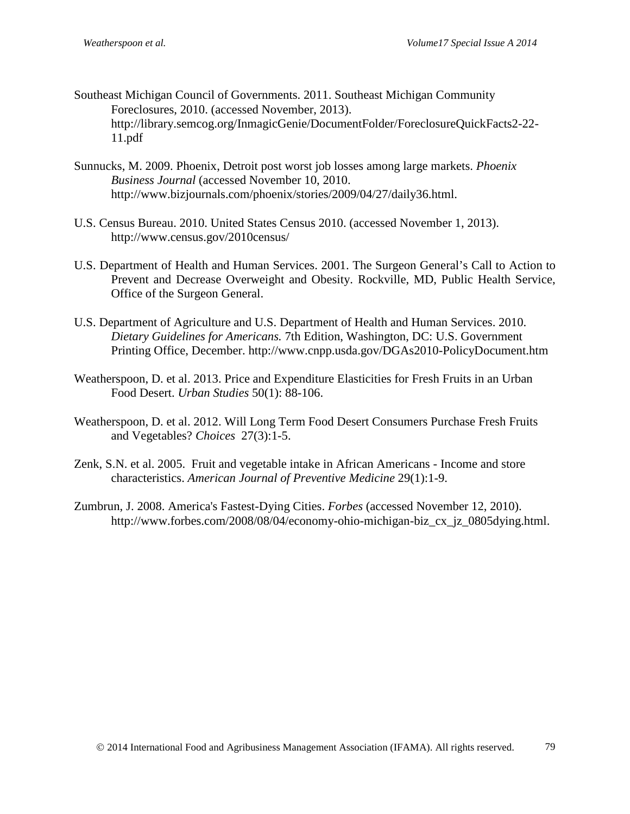- Southeast Michigan Council of Governments. 2011. Southeast Michigan Community Foreclosures, 2010. (accessed November, 2013). http://library.semcog.org/InmagicGenie/DocumentFolder/ForeclosureQuickFacts2-22- 11.pdf
- Sunnucks, M. 2009. Phoenix, Detroit post worst job losses among large markets. *Phoenix Business Journal* (accessed November 10, 2010. http://www.bizjournals.com/phoenix/stories/2009/04/27/daily36.html.
- U.S. Census Bureau. 2010. United States Census 2010. (accessed November 1, 2013). http://www.census.gov/2010census/
- U.S. Department of Health and Human Services. 2001. The Surgeon General's Call to Action to Prevent and Decrease Overweight and Obesity. Rockville, MD, Public Health Service, Office of the Surgeon General.
- U.S. Department of Agriculture and U.S. Department of Health and Human Services. 2010. *Dietary Guidelines for Americans.* 7th Edition, Washington, DC: U.S. Government Printing Office, December. http://www.cnpp.usda.gov/DGAs2010-PolicyDocument.htm
- Weatherspoon, D. et al. 2013. Price and Expenditure Elasticities for Fresh Fruits in an Urban Food Desert. *Urban Studies* 50(1): 88-106.
- Weatherspoon, D. et al. 2012. Will Long Term Food Desert Consumers Purchase Fresh Fruits and Vegetables? *Choices* 27(3):1-5.
- Zenk, S.N. et al. 2005. Fruit and vegetable intake in African Americans Income and store characteristics. *American Journal of Preventive Medicine* 29(1):1-9.
- Zumbrun, J. 2008. America's Fastest-Dying Cities. *Forbes* (accessed November 12, 2010). http://www.forbes.com/2008/08/04/economy-ohio-michigan-biz cx jz 0805dying.html.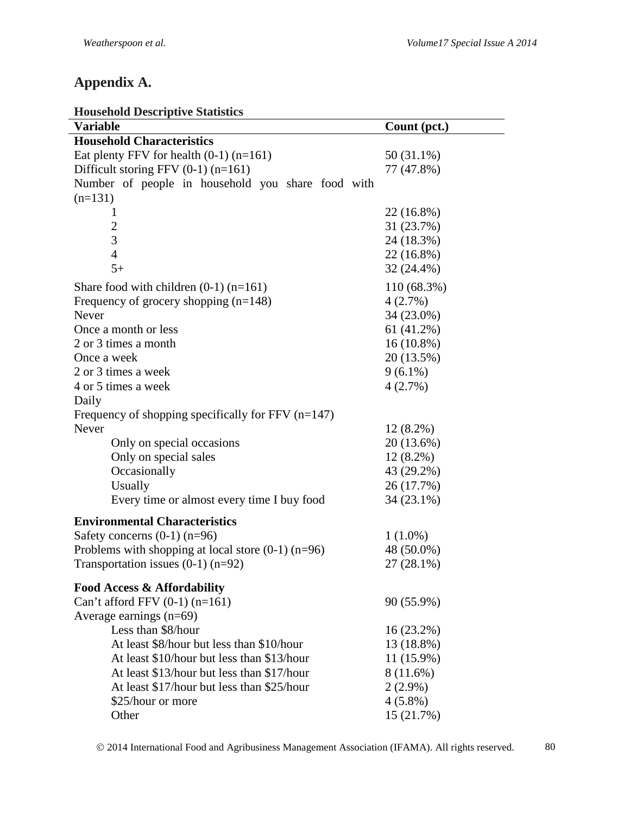# **Appendix A.**

| HUUSCHUIU DESCHIPHYE STATISTICS<br>Variable          | Count (pct.)           |
|------------------------------------------------------|------------------------|
| <b>Household Characteristics</b>                     |                        |
| Eat plenty FFV for health $(0-1)$ (n=161)            | 50 (31.1%)             |
| Difficult storing FFV $(0-1)$ (n=161)                | 77 (47.8%)             |
| Number of people in household you share food with    |                        |
| $(n=131)$                                            |                        |
| 1                                                    | 22 (16.8%)             |
| $\overline{2}$                                       | 31 (23.7%)             |
| 3                                                    | 24 (18.3%)             |
| $\overline{4}$                                       | 22 (16.8%)             |
| $5+$                                                 | 32 (24.4%)             |
|                                                      |                        |
| Share food with children $(0-1)$ (n=161)             | 110 (68.3%)<br>4(2.7%) |
| Frequency of grocery shopping $(n=148)$<br>Never     | 34 (23.0%)             |
| Once a month or less                                 | 61(41.2%)              |
|                                                      |                        |
| 2 or 3 times a month<br>Once a week                  | $16(10.8\%)$           |
|                                                      | 20 (13.5%)             |
| 2 or 3 times a week                                  | $9(6.1\%)$             |
| 4 or 5 times a week                                  | 4(2.7%)                |
| Daily                                                |                        |
| Frequency of shopping specifically for FFV $(n=147)$ |                        |
| Never                                                | $12(8.2\%)$            |
| Only on special occasions                            | 20 (13.6%)             |
| Only on special sales                                | $12(8.2\%)$            |
| Occasionally                                         | 43 (29.2%)             |
| Usually                                              | 26 (17.7%)             |
| Every time or almost every time I buy food           | 34 (23.1%)             |
| <b>Environmental Characteristics</b>                 |                        |
| Safety concerns $(0-1)$ (n=96)                       | $1(1.0\%)$             |
| Problems with shopping at local store $(0-1)$ (n=96) | 48 (50.0%)             |
| Transportation issues $(0-1)$ (n=92)                 | $27(28.1\%)$           |
| <b>Food Access &amp; Affordability</b>               |                        |
| Can't afford FFV $(0-1)$ $(n=161)$                   | 90 (55.9%)             |
| Average earnings $(n=69)$                            |                        |
| Less than \$8/hour                                   | $16(23.2\%)$           |
| At least \$8/hour but less than \$10/hour            | 13 (18.8%)             |
| At least \$10/hour but less than \$13/hour           | 11 (15.9%)             |
| At least \$13/hour but less than \$17/hour           | 8 (11.6%)              |
| At least \$17/hour but less than \$25/hour           | $2(2.9\%)$             |
| \$25/hour or more                                    | $4(5.8\%)$             |
| Other                                                | 15 (21.7%)             |

© 2014 International Food and Agribusiness Management Association (IFAMA). All rights reserved. 80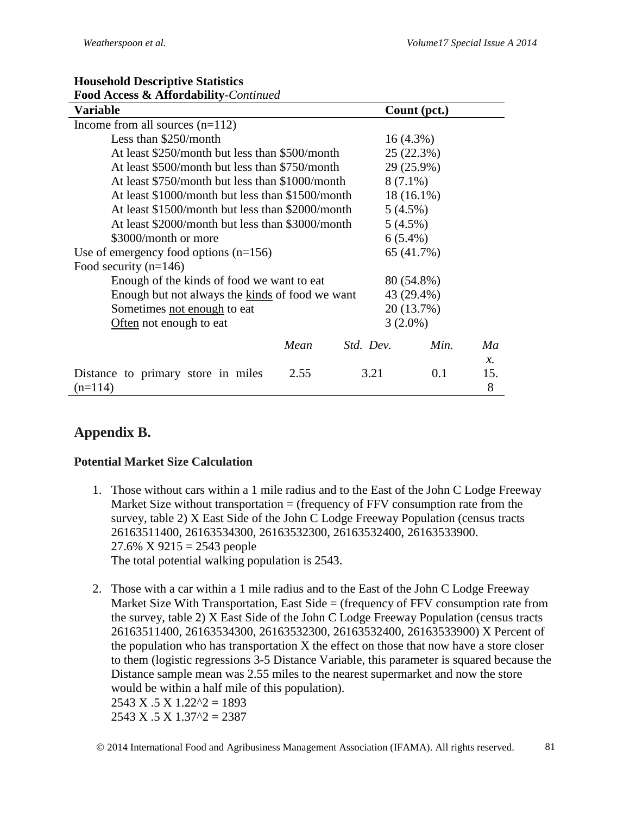| $\ldots$<br>Variable                             |      |                  | Count (pct.) |                |
|--------------------------------------------------|------|------------------|--------------|----------------|
| Income from all sources $(n=112)$                |      |                  |              |                |
| Less than \$250/month                            |      |                  | $16(4.3\%)$  |                |
| At least \$250/month but less than \$500/month   |      |                  | 25(22.3%)    |                |
| At least \$500/month but less than \$750/month   |      |                  | 29 (25.9%)   |                |
| At least \$750/month but less than \$1000/month  |      |                  | $8(7.1\%)$   |                |
| At least \$1000/month but less than \$1500/month |      |                  | $18(16.1\%)$ |                |
| At least \$1500/month but less than \$2000/month |      |                  | $5(4.5\%)$   |                |
| At least \$2000/month but less than \$3000/month |      |                  | $5(4.5\%)$   |                |
| \$3000/month or more                             |      |                  | $6(5.4\%)$   |                |
| Use of emergency food options $(n=156)$          |      |                  | 65 (41.7%)   |                |
| Food security $(n=146)$                          |      |                  |              |                |
| Enough of the kinds of food we want to eat       |      |                  | 80 (54.8%)   |                |
| Enough but not always the kinds of food we want  |      |                  | 43 (29.4%)   |                |
| Sometimes not enough to eat                      |      |                  | 20 (13.7%)   |                |
| Often not enough to eat                          |      |                  | $3(2.0\%)$   |                |
|                                                  | Mean | <i>Std. Dev.</i> | Min.         | Ma<br>$\chi$ . |
| Distance to primary store in miles<br>$(n=114)$  | 2.55 | 3.21             | 0.1          | 15.<br>8       |

#### **Household Descriptive Statistics Food Access & Affordability***-Continued*

# **Appendix B.**

### **Potential Market Size Calculation**

- 1. Those without cars within a 1 mile radius and to the East of the John C Lodge Freeway Market Size without transportation  $=$  (frequency of FFV consumption rate from the survey, table 2) X East Side of the John C Lodge Freeway Population (census tracts 26163511400, 26163534300, 26163532300, 26163532400, 26163533900.  $27.6\%$  X  $9215 = 2543$  people The total potential walking population is 2543.
- 2. Those with a car within a 1 mile radius and to the East of the John C Lodge Freeway Market Size With Transportation, East Side = (frequency of FFV consumption rate from the survey, table 2) X East Side of the John C Lodge Freeway Population (census tracts 26163511400, 26163534300, 26163532300, 26163532400, 26163533900) X Percent of the population who has transportation X the effect on those that now have a store closer to them (logistic regressions 3-5 Distance Variable, this parameter is squared because the Distance sample mean was 2.55 miles to the nearest supermarket and now the store would be within a half mile of this population).

 $2543$  X  $.5$  X  $1.22$ <sup> $\wedge$ </sup> $2$  = 1893  $2543$  X  $.5$  X  $1.37$ <sup> $\textdegree$ </sup> $2 = 2387$